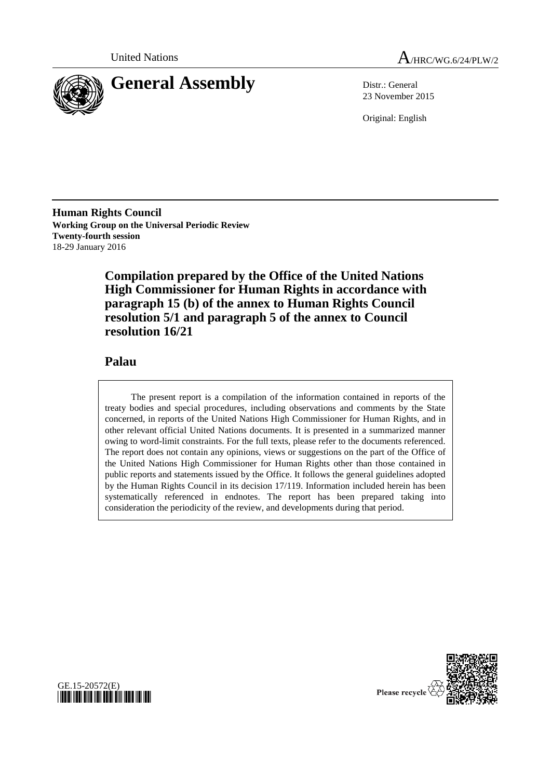

23 November 2015

Original: English

**Human Rights Council Working Group on the Universal Periodic Review Twenty-fourth session** 18-29 January 2016

> **Compilation prepared by the Office of the United Nations High Commissioner for Human Rights in accordance with paragraph 15 (b) of the annex to Human Rights Council resolution 5/1 and paragraph 5 of the annex to Council resolution 16/21**

### **Palau**

The present report is a compilation of the information contained in reports of the treaty bodies and special procedures, including observations and comments by the State concerned, in reports of the United Nations High Commissioner for Human Rights, and in other relevant official United Nations documents. It is presented in a summarized manner owing to word-limit constraints. For the full texts, please refer to the documents referenced. The report does not contain any opinions, views or suggestions on the part of the Office of the United Nations High Commissioner for Human Rights other than those contained in public reports and statements issued by the Office. It follows the general guidelines adopted by the Human Rights Council in its decision 17/119. Information included herein has been systematically referenced in endnotes. The report has been prepared taking into consideration the periodicity of the review, and developments during that period.



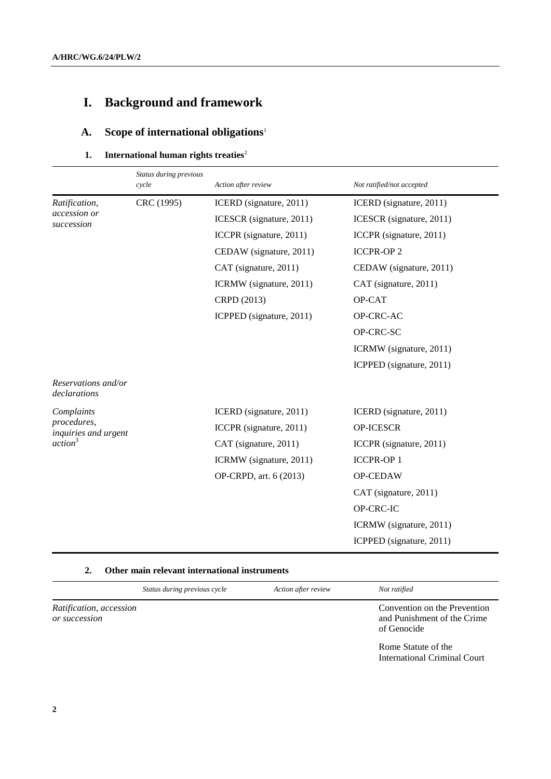# **I. Background and framework**

# **A. Scope of international obligations**<sup>1</sup>

#### **1.** International human rights treaties<sup>2</sup>

|                                                                          | Status during previous<br>cycle | Action after review      | Not ratified/not accepted |
|--------------------------------------------------------------------------|---------------------------------|--------------------------|---------------------------|
| Ratification,<br><i>accession or</i><br>succession                       | CRC (1995)                      | ICERD (signature, 2011)  | ICERD (signature, 2011)   |
|                                                                          |                                 | ICESCR (signature, 2011) | ICESCR (signature, 2011)  |
|                                                                          |                                 | ICCPR (signature, 2011)  | ICCPR (signature, 2011)   |
|                                                                          |                                 | CEDAW (signature, 2011)  | <b>ICCPR-OP2</b>          |
|                                                                          |                                 | CAT (signature, 2011)    | CEDAW (signature, 2011)   |
|                                                                          |                                 | ICRMW (signature, 2011)  | CAT (signature, 2011)     |
|                                                                          |                                 | CRPD (2013)              | OP-CAT                    |
|                                                                          |                                 | ICPPED (signature, 2011) | OP-CRC-AC                 |
|                                                                          |                                 |                          | OP-CRC-SC                 |
|                                                                          |                                 |                          | ICRMW (signature, 2011)   |
|                                                                          |                                 |                          | ICPPED (signature, 2011)  |
| Reservations and/or<br>declarations                                      |                                 |                          |                           |
| Complaints<br>procedures,<br>inquiries and urgent<br>action <sup>3</sup> |                                 | ICERD (signature, 2011)  | ICERD (signature, 2011)   |
|                                                                          |                                 | ICCPR (signature, 2011)  | OP-ICESCR                 |
|                                                                          |                                 | CAT (signature, 2011)    | ICCPR (signature, 2011)   |
|                                                                          |                                 | ICRMW (signature, 2011)  | <b>ICCPR-OP1</b>          |
|                                                                          |                                 | OP-CRPD, art. 6 (2013)   | OP-CEDAW                  |
|                                                                          |                                 |                          | CAT (signature, 2011)     |
|                                                                          |                                 |                          | OP-CRC-IC                 |
|                                                                          |                                 |                          | ICRMW (signature, 2011)   |
|                                                                          |                                 |                          | ICPPED (signature, 2011)  |

#### **2. Other main relevant international instruments**

|                                          | Status during previous cycle | Action after review | Not ratified                                                               |
|------------------------------------------|------------------------------|---------------------|----------------------------------------------------------------------------|
| Ratification, accession<br>or succession |                              |                     | Convention on the Prevention<br>and Punishment of the Crime<br>of Genocide |
|                                          |                              |                     | Rome Statute of the<br>International Criminal Court                        |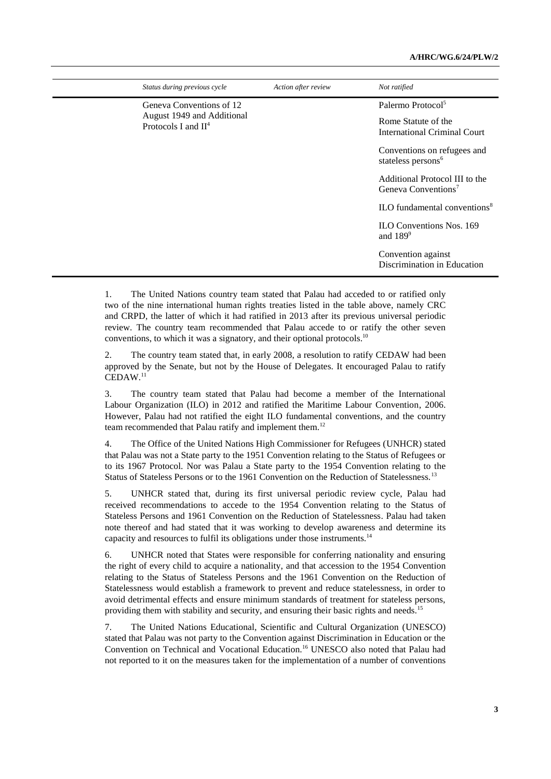| Not ratified                                                      |
|-------------------------------------------------------------------|
| Palermo Protocol <sup>5</sup>                                     |
| Rome Statute of the<br><b>International Criminal Court</b>        |
| Conventions on refugees and<br>stateless persons <sup>6</sup>     |
| Additional Protocol III to the<br>Geneva Conventions <sup>7</sup> |
| $\rm ILO$ fundamental conventions <sup>8</sup>                    |
| <b>ILO Conventions Nos. 169</b><br>and $189^\circ$                |
| Convention against<br>Discrimination in Education                 |
|                                                                   |

1. The United Nations country team stated that Palau had acceded to or ratified only two of the nine international human rights treaties listed in the table above, namely CRC and CRPD, the latter of which it had ratified in 2013 after its previous universal periodic review. The country team recommended that Palau accede to or ratify the other seven conventions, to which it was a signatory, and their optional protocols.<sup>10</sup>

2. The country team stated that, in early 2008, a resolution to ratify CEDAW had been approved by the Senate, but not by the House of Delegates. It encouraged Palau to ratify  $\text{CEDAW}.^{11}$ 

3. The country team stated that Palau had become a member of the International Labour Organization (ILO) in 2012 and ratified the Maritime Labour Convention, 2006. However, Palau had not ratified the eight ILO fundamental conventions, and the country team recommended that Palau ratify and implement them.<sup>12</sup>

4. The Office of the United Nations High Commissioner for Refugees (UNHCR) stated that Palau was not a State party to the 1951 Convention relating to the Status of Refugees or to its 1967 Protocol. Nor was Palau a State party to the 1954 Convention relating to the Status of Stateless Persons or to the 1961 Convention on the Reduction of Statelessness.<sup>13</sup>

5. UNHCR stated that, during its first universal periodic review cycle, Palau had received recommendations to accede to the 1954 Convention relating to the Status of Stateless Persons and 1961 Convention on the Reduction of Statelessness. Palau had taken note thereof and had stated that it was working to develop awareness and determine its capacity and resources to fulfil its obligations under those instruments.<sup>14</sup>

6. UNHCR noted that States were responsible for conferring nationality and ensuring the right of every child to acquire a nationality, and that accession to the 1954 Convention relating to the Status of Stateless Persons and the 1961 Convention on the Reduction of Statelessness would establish a framework to prevent and reduce statelessness, in order to avoid detrimental effects and ensure minimum standards of treatment for stateless persons, providing them with stability and security, and ensuring their basic rights and needs.<sup>15</sup>

7. The United Nations Educational, Scientific and Cultural Organization (UNESCO) stated that Palau was not party to the Convention against Discrimination in Education or the Convention on Technical and Vocational Education.<sup>16</sup> UNESCO also noted that Palau had not reported to it on the measures taken for the implementation of a number of conventions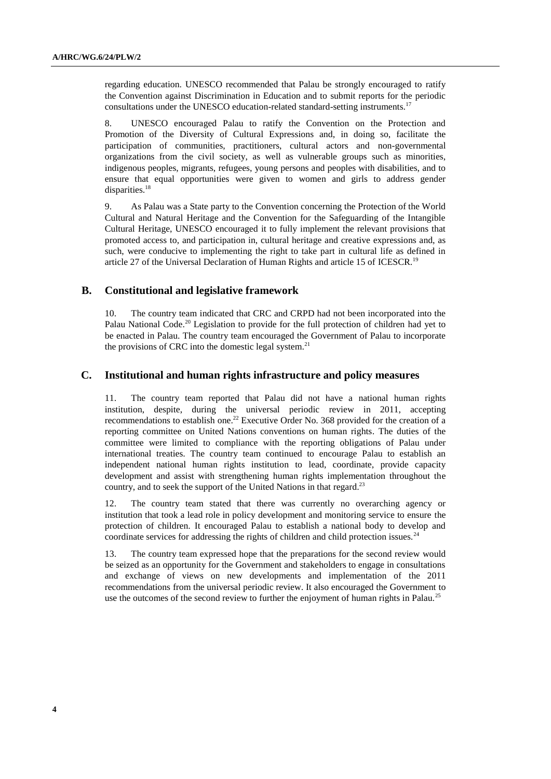regarding education. UNESCO recommended that Palau be strongly encouraged to ratify the Convention against Discrimination in Education and to submit reports for the periodic consultations under the UNESCO education-related standard-setting instruments.<sup>17</sup>

8. UNESCO encouraged Palau to ratify the Convention on the Protection and Promotion of the Diversity of Cultural Expressions and, in doing so, facilitate the participation of communities, practitioners, cultural actors and non-governmental organizations from the civil society, as well as vulnerable groups such as minorities, indigenous peoples, migrants, refugees, young persons and peoples with disabilities, and to ensure that equal opportunities were given to women and girls to address gender disparities.<sup>18</sup>

9. As Palau was a State party to the Convention concerning the Protection of the World Cultural and Natural Heritage and the Convention for the Safeguarding of the Intangible Cultural Heritage, UNESCO encouraged it to fully implement the relevant provisions that promoted access to, and participation in, cultural heritage and creative expressions and, as such, were conducive to implementing the right to take part in cultural life as defined in article 27 of the Universal Declaration of Human Rights and article 15 of ICESCR.<sup>19</sup>

#### **B. Constitutional and legislative framework**

10. The country team indicated that CRC and CRPD had not been incorporated into the Palau National Code.<sup>20</sup> Legislation to provide for the full protection of children had yet to be enacted in Palau. The country team encouraged the Government of Palau to incorporate the provisions of CRC into the domestic legal system. $^{21}$ 

#### **C. Institutional and human rights infrastructure and policy measures**

11. The country team reported that Palau did not have a national human rights institution, despite, during the universal periodic review in 2011, accepting recommendations to establish one.<sup>22</sup> Executive Order No. 368 provided for the creation of a reporting committee on United Nations conventions on human rights. The duties of the committee were limited to compliance with the reporting obligations of Palau under international treaties. The country team continued to encourage Palau to establish an independent national human rights institution to lead, coordinate, provide capacity development and assist with strengthening human rights implementation throughout the country, and to seek the support of the United Nations in that regard.<sup>23</sup>

12. The country team stated that there was currently no overarching agency or institution that took a lead role in policy development and monitoring service to ensure the protection of children. It encouraged Palau to establish a national body to develop and coordinate services for addressing the rights of children and child protection issues.<sup>24</sup>

13. The country team expressed hope that the preparations for the second review would be seized as an opportunity for the Government and stakeholders to engage in consultations and exchange of views on new developments and implementation of the 2011 recommendations from the universal periodic review. It also encouraged the Government to use the outcomes of the second review to further the enjoyment of human rights in Palau.<sup>25</sup>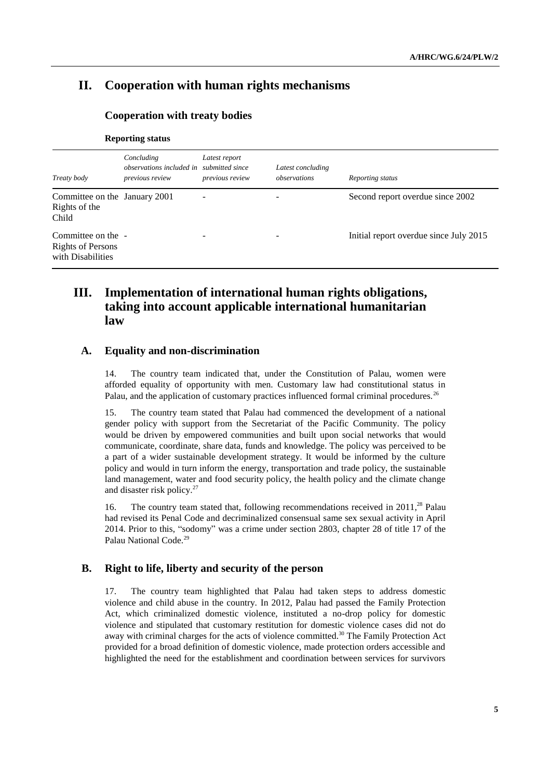# **II. Cooperation with human rights mechanisms**

#### **Cooperation with treaty bodies**

|                                                                     | Concluding<br>observations included in submitted since | Latest report   | Latest concluding |                                        |
|---------------------------------------------------------------------|--------------------------------------------------------|-----------------|-------------------|----------------------------------------|
| Treaty body                                                         | previous review                                        | previous review | observations      | Reporting status                       |
| Committee on the January 2001<br>Rights of the<br>Child             |                                                        | -               |                   | Second report overdue since 2002       |
| Committee on the -<br><b>Rights of Persons</b><br>with Disabilities |                                                        | ۰               |                   | Initial report overdue since July 2015 |

#### **Reporting status**

## **III. Implementation of international human rights obligations, taking into account applicable international humanitarian law**

#### **A. Equality and non-discrimination**

14. The country team indicated that, under the Constitution of Palau, women were afforded equality of opportunity with men. Customary law had constitutional status in Palau, and the application of customary practices influenced formal criminal procedures.<sup>26</sup>

15. The country team stated that Palau had commenced the development of a national gender policy with support from the Secretariat of the Pacific Community. The policy would be driven by empowered communities and built upon social networks that would communicate, coordinate, share data, funds and knowledge. The policy was perceived to be a part of a wider sustainable development strategy. It would be informed by the culture policy and would in turn inform the energy, transportation and trade policy, the sustainable land management, water and food security policy, the health policy and the climate change and disaster risk policy.<sup>27</sup>

16. The country team stated that, following recommendations received in 2011,<sup>28</sup> Palau had revised its Penal Code and decriminalized consensual same sex sexual activity in April 2014. Prior to this, "sodomy" was a crime under section 2803, chapter 28 of title 17 of the Palau National Code.<sup>29</sup>

#### **B. Right to life, liberty and security of the person**

17. The country team highlighted that Palau had taken steps to address domestic violence and child abuse in the country. In 2012, Palau had passed the Family Protection Act, which criminalized domestic violence, instituted a no-drop policy for domestic violence and stipulated that customary restitution for domestic violence cases did not do away with criminal charges for the acts of violence committed.<sup>30</sup> The Family Protection Act provided for a broad definition of domestic violence, made protection orders accessible and highlighted the need for the establishment and coordination between services for survivors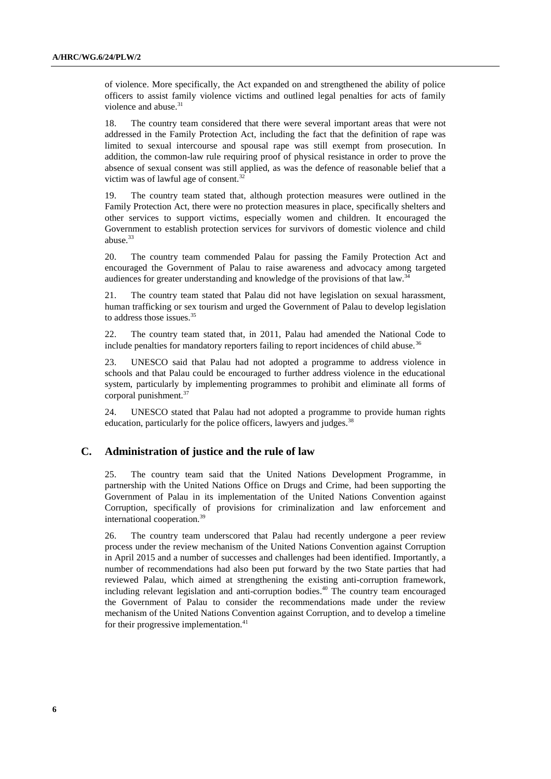of violence. More specifically, the Act expanded on and strengthened the ability of police officers to assist family violence victims and outlined legal penalties for acts of family violence and abuse.<sup>31</sup>

18. The country team considered that there were several important areas that were not addressed in the Family Protection Act, including the fact that the definition of rape was limited to sexual intercourse and spousal rape was still exempt from prosecution. In addition, the common-law rule requiring proof of physical resistance in order to prove the absence of sexual consent was still applied, as was the defence of reasonable belief that a victim was of lawful age of consent.<sup>32</sup>

19. The country team stated that, although protection measures were outlined in the Family Protection Act, there were no protection measures in place, specifically shelters and other services to support victims, especially women and children. It encouraged the Government to establish protection services for survivors of domestic violence and child abuse.<sup>33</sup>

20. The country team commended Palau for passing the Family Protection Act and encouraged the Government of Palau to raise awareness and advocacy among targeted audiences for greater understanding and knowledge of the provisions of that law.<sup>34</sup>

21. The country team stated that Palau did not have legislation on sexual harassment, human trafficking or sex tourism and urged the Government of Palau to develop legislation to address those issues.<sup>35</sup>

22. The country team stated that, in 2011, Palau had amended the National Code to include penalties for mandatory reporters failing to report incidences of child abuse.<sup>36</sup>

23. UNESCO said that Palau had not adopted a programme to address violence in schools and that Palau could be encouraged to further address violence in the educational system, particularly by implementing programmes to prohibit and eliminate all forms of corporal punishment.<sup>37</sup>

24. UNESCO stated that Palau had not adopted a programme to provide human rights education, particularly for the police officers, lawyers and judges.<sup>38</sup>

#### **C. Administration of justice and the rule of law**

25. The country team said that the United Nations Development Programme, in partnership with the United Nations Office on Drugs and Crime, had been supporting the Government of Palau in its implementation of the United Nations Convention against Corruption, specifically of provisions for criminalization and law enforcement and international cooperation.<sup>39</sup>

26. The country team underscored that Palau had recently undergone a peer review process under the review mechanism of the United Nations Convention against Corruption in April 2015 and a number of successes and challenges had been identified. Importantly, a number of recommendations had also been put forward by the two State parties that had reviewed Palau, which aimed at strengthening the existing anti-corruption framework, including relevant legislation and anti-corruption bodies. <sup>40</sup> The country team encouraged the Government of Palau to consider the recommendations made under the review mechanism of the United Nations Convention against Corruption, and to develop a timeline for their progressive implementation.<sup>41</sup>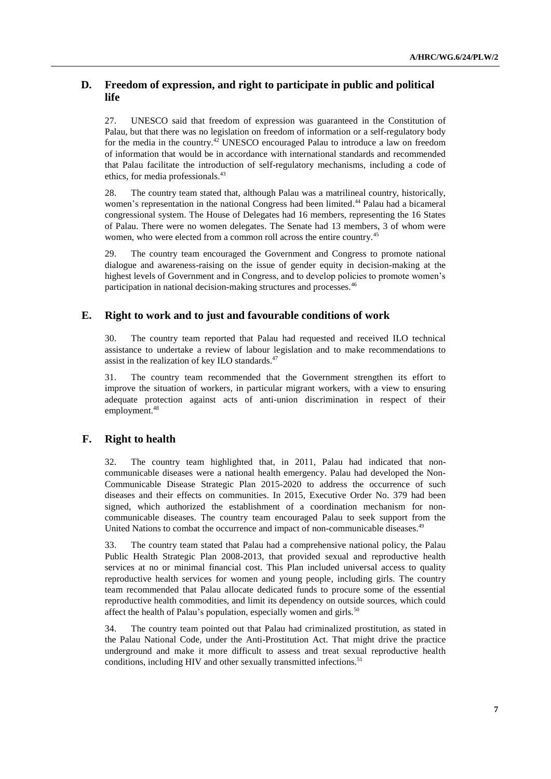#### **D. Freedom of expression, and right to participate in public and political life**

27. UNESCO said that freedom of expression was guaranteed in the Constitution of Palau, but that there was no legislation on freedom of information or a self-regulatory body for the media in the country.<sup>42</sup> UNESCO encouraged Palau to introduce a law on freedom of information that would be in accordance with international standards and recommended that Palau facilitate the introduction of self-regulatory mechanisms, including a code of ethics, for media professionals.<sup>43</sup>

28. The country team stated that, although Palau was a matrilineal country, historically, women's representation in the national Congress had been limited.<sup>44</sup> Palau had a bicameral congressional system. The House of Delegates had 16 members, representing the 16 States of Palau. There were no women delegates. The Senate had 13 members, 3 of whom were women, who were elected from a common roll across the entire country.<sup>45</sup>

29. The country team encouraged the Government and Congress to promote national dialogue and awareness-raising on the issue of gender equity in decision-making at the highest levels of Government and in Congress, and to develop policies to promote women's participation in national decision-making structures and processes.<sup>46</sup>

#### **E. Right to work and to just and favourable conditions of work**

30. The country team reported that Palau had requested and received ILO technical assistance to undertake a review of labour legislation and to make recommendations to assist in the realization of key ILO standards.<sup>47</sup>

31. The country team recommended that the Government strengthen its effort to improve the situation of workers, in particular migrant workers, with a view to ensuring adequate protection against acts of anti-union discrimination in respect of their employment.<sup>48</sup>

#### **F. Right to health**

32. The country team highlighted that, in 2011, Palau had indicated that noncommunicable diseases were a national health emergency. Palau had developed the Non-Communicable Disease Strategic Plan 2015-2020 to address the occurrence of such diseases and their effects on communities. In 2015, Executive Order No. 379 had been signed, which authorized the establishment of a coordination mechanism for noncommunicable diseases. The country team encouraged Palau to seek support from the United Nations to combat the occurrence and impact of non-communicable diseases.<sup>49</sup>

33. The country team stated that Palau had a comprehensive national policy, the Palau Public Health Strategic Plan 2008-2013, that provided sexual and reproductive health services at no or minimal financial cost. This Plan included universal access to quality reproductive health services for women and young people, including girls. The country team recommended that Palau allocate dedicated funds to procure some of the essential reproductive health commodities, and limit its dependency on outside sources, which could affect the health of Palau's population, especially women and girls.<sup>50</sup>

34. The country team pointed out that Palau had criminalized prostitution, as stated in the Palau National Code, under the Anti-Prostitution Act. That might drive the practice underground and make it more difficult to assess and treat sexual reproductive health conditions, including HIV and other sexually transmitted infections.<sup>51</sup>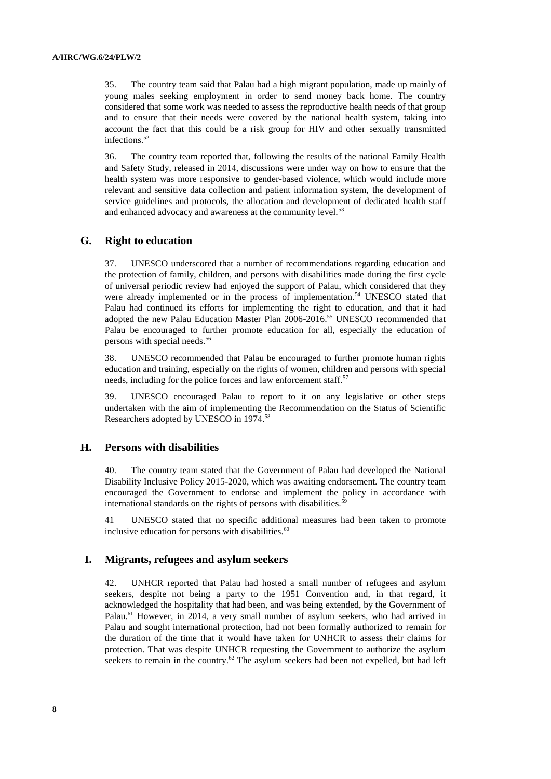35. The country team said that Palau had a high migrant population, made up mainly of young males seeking employment in order to send money back home. The country considered that some work was needed to assess the reproductive health needs of that group and to ensure that their needs were covered by the national health system, taking into account the fact that this could be a risk group for HIV and other sexually transmitted infections.<sup>52</sup>

36. The country team reported that, following the results of the national Family Health and Safety Study, released in 2014, discussions were under way on how to ensure that the health system was more responsive to gender-based violence, which would include more relevant and sensitive data collection and patient information system, the development of service guidelines and protocols, the allocation and development of dedicated health staff and enhanced advocacy and awareness at the community level.<sup>53</sup>

#### **G. Right to education**

37. UNESCO underscored that a number of recommendations regarding education and the protection of family, children, and persons with disabilities made during the first cycle of universal periodic review had enjoyed the support of Palau, which considered that they were already implemented or in the process of implementation.<sup>54</sup> UNESCO stated that Palau had continued its efforts for implementing the right to education, and that it had adopted the new Palau Education Master Plan 2006-2016.<sup>55</sup> UNESCO recommended that Palau be encouraged to further promote education for all, especially the education of persons with special needs.<sup>56</sup>

38. UNESCO recommended that Palau be encouraged to further promote human rights education and training, especially on the rights of women, children and persons with special needs, including for the police forces and law enforcement staff.<sup>57</sup>

39. UNESCO encouraged Palau to report to it on any legislative or other steps undertaken with the aim of implementing the Recommendation on the Status of Scientific Researchers adopted by UNESCO in 1974.<sup>58</sup>

#### **H. Persons with disabilities**

40. The country team stated that the Government of Palau had developed the National Disability Inclusive Policy 2015-2020, which was awaiting endorsement. The country team encouraged the Government to endorse and implement the policy in accordance with international standards on the rights of persons with disabilities.

41 UNESCO stated that no specific additional measures had been taken to promote inclusive education for persons with disabilities. 60

#### **I. Migrants, refugees and asylum seekers**

42. UNHCR reported that Palau had hosted a small number of refugees and asylum seekers, despite not being a party to the 1951 Convention and, in that regard, it acknowledged the hospitality that had been, and was being extended, by the Government of Palau.<sup>61</sup> However, in 2014, a very small number of asylum seekers, who had arrived in Palau and sought international protection, had not been formally authorized to remain for the duration of the time that it would have taken for UNHCR to assess their claims for protection. That was despite UNHCR requesting the Government to authorize the asylum seekers to remain in the country.<sup>62</sup> The asylum seekers had been not expelled, but had left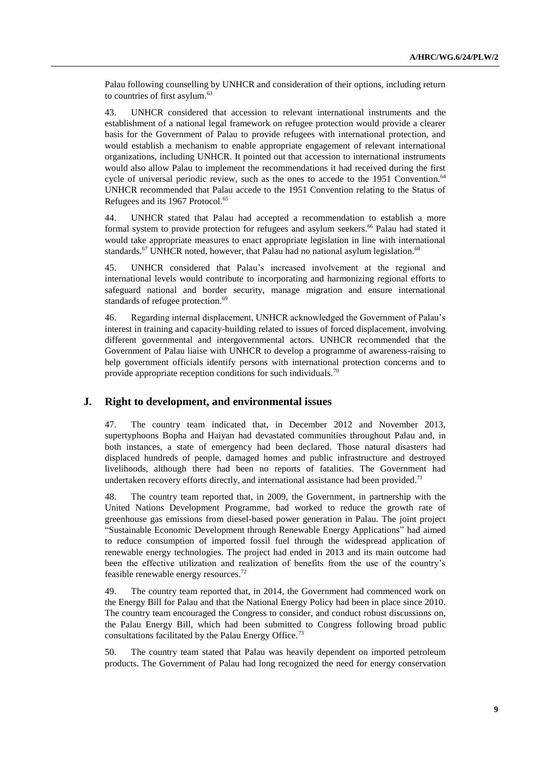Palau following counselling by UNHCR and consideration of their options, including return to countries of first asylum.<sup>63</sup>

43. UNHCR considered that accession to relevant international instruments and the establishment of a national legal framework on refugee protection would provide a clearer basis for the Government of Palau to provide refugees with international protection, and would establish a mechanism to enable appropriate engagement of relevant international organizations, including UNHCR. It pointed out that accession to international instruments would also allow Palau to implement the recommendations it had received during the first cycle of universal periodic review, such as the ones to accede to the 1951 Convention.<sup>64</sup> UNHCR recommended that Palau accede to the 1951 Convention relating to the Status of Refugees and its 1967 Protocol.<sup>65</sup>

44. UNHCR stated that Palau had accepted a recommendation to establish a more formal system to provide protection for refugees and asylum seekers.<sup>66</sup> Palau had stated it would take appropriate measures to enact appropriate legislation in line with international standards.<sup>67</sup> UNHCR noted, however, that Palau had no national asylum legislation.<sup>68</sup>

45. UNHCR considered that Palau's increased involvement at the regional and international levels would contribute to incorporating and harmonizing regional efforts to safeguard national and border security, manage migration and ensure international standards of refugee protection.<sup>69</sup>

46. Regarding internal displacement, UNHCR acknowledged the Government of Palau's interest in training and capacity-building related to issues of forced displacement, involving different governmental and intergovernmental actors. UNHCR recommended that the Government of Palau liaise with UNHCR to develop a programme of awareness-raising to help government officials identify persons with international protection concerns and to provide appropriate reception conditions for such individuals.<sup>70</sup>

#### **J. Right to development, and environmental issues**

47. The country team indicated that, in December 2012 and November 2013, supertyphoons Bopha and Haiyan had devastated communities throughout Palau and, in both instances, a state of emergency had been declared. Those natural disasters had displaced hundreds of people, damaged homes and public infrastructure and destroyed livelihoods, although there had been no reports of fatalities. The Government had undertaken recovery efforts directly, and international assistance had been provided.<sup>71</sup>

48. The country team reported that, in 2009, the Government, in partnership with the United Nations Development Programme, had worked to reduce the growth rate of greenhouse gas emissions from diesel-based power generation in Palau. The joint project "Sustainable Economic Development through Renewable Energy Applications" had aimed to reduce consumption of imported fossil fuel through the widespread application of renewable energy technologies. The project had ended in 2013 and its main outcome had been the effective utilization and realization of benefits from the use of the country's feasible renewable energy resources.<sup>72</sup>

49. The country team reported that, in 2014, the Government had commenced work on the Energy Bill for Palau and that the National Energy Policy had been in place since 2010. The country team encouraged the Congress to consider, and conduct robust discussions on, the Palau Energy Bill, which had been submitted to Congress following broad public consultations facilitated by the Palau Energy Office.<sup>73</sup>

50. The country team stated that Palau was heavily dependent on imported petroleum products. The Government of Palau had long recognized the need for energy conservation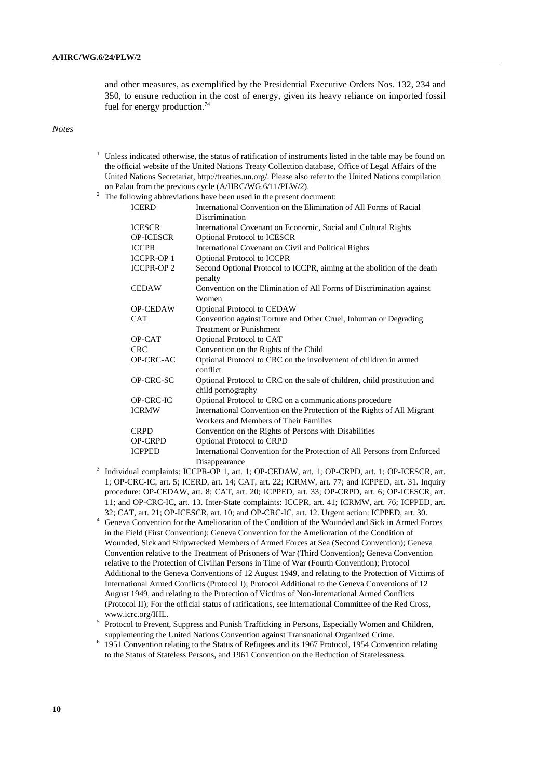and other measures, as exemplified by the Presidential Executive Orders Nos. 132, 234 and 350, to ensure reduction in the cost of energy, given its heavy reliance on imported fossil fuel for energy production.<sup>74</sup>

*Notes*

 $1$  Unless indicated otherwise, the status of ratification of instruments listed in the table may be found on the official website of the United Nations Treaty Collection database, Office of Legal Affairs of the United Nations Secretariat, [http://treaties.un.org/.](http://treaties.un.org/) Please also refer to the United Nations compilation on Palau from the previous cycle (A/HRC/WG.6/11/PLW/2).

| <b>ICERD</b>     | International Convention on the Elimination of All Forms of Racial                            |
|------------------|-----------------------------------------------------------------------------------------------|
|                  | Discrimination                                                                                |
| <b>ICESCR</b>    | International Covenant on Economic, Social and Cultural Rights                                |
| <b>OP-ICESCR</b> | Optional Protocol to ICESCR                                                                   |
| <b>ICCPR</b>     | International Covenant on Civil and Political Rights                                          |
| <b>ICCPR-OP1</b> | Optional Protocol to ICCPR                                                                    |
| <b>ICCPR-OP2</b> | Second Optional Protocol to ICCPR, aiming at the abolition of the death<br>penalty            |
| <b>CEDAW</b>     | Convention on the Elimination of All Forms of Discrimination against<br>Women                 |
| <b>OP-CEDAW</b>  | <b>Optional Protocol to CEDAW</b>                                                             |
| <b>CAT</b>       | Convention against Torture and Other Cruel, Inhuman or Degrading                              |
|                  | <b>Treatment or Punishment</b>                                                                |
| OP-CAT           | Optional Protocol to CAT                                                                      |
| <b>CRC</b>       | Convention on the Rights of the Child                                                         |
| OP-CRC-AC        | Optional Protocol to CRC on the involvement of children in armed<br>conflict                  |
| OP-CRC-SC        | Optional Protocol to CRC on the sale of children, child prostitution and<br>child pornography |
| OP-CRC-IC        | Optional Protocol to CRC on a communications procedure                                        |
| <b>ICRMW</b>     | International Convention on the Protection of the Rights of All Migrant                       |
|                  | Workers and Members of Their Families                                                         |
| <b>CRPD</b>      | Convention on the Rights of Persons with Disabilities                                         |
| <b>OP-CRPD</b>   | <b>Optional Protocol to CRPD</b>                                                              |
| <b>ICPPED</b>    | International Convention for the Protection of All Persons from Enforced                      |
|                  | Disannearance                                                                                 |

- Disappearance 3 Individual complaints: ICCPR-OP 1, art. 1; OP-CEDAW, art. 1; OP-CRPD, art. 1; OP-ICESCR, art. 1; OP-CRC-IC, art. 5; ICERD, art. 14; CAT, art. 22; ICRMW, art. 77; and ICPPED, art. 31. Inquiry procedure: OP-CEDAW, art. 8; CAT, art. 20; ICPPED, art. 33; OP-CRPD, art. 6; OP-ICESCR, art. 11; and OP-CRC-IC, art. 13. Inter-State complaints: ICCPR, art. 41; ICRMW, art. 76; ICPPED, art. 32; CAT, art. 21; OP-ICESCR, art. 10; and OP-CRC-IC, art. 12. Urgent action: ICPPED, art. 30.
- <sup>4</sup> Geneva Convention for the Amelioration of the Condition of the Wounded and Sick in Armed Forces in the Field (First Convention); Geneva Convention for the Amelioration of the Condition of Wounded, Sick and Shipwrecked Members of Armed Forces at Sea (Second Convention); Geneva Convention relative to the Treatment of Prisoners of War (Third Convention); Geneva Convention relative to the Protection of Civilian Persons in Time of War (Fourth Convention); Protocol Additional to the Geneva Conventions of 12 August 1949, and relating to the Protection of Victims of International Armed Conflicts (Protocol I); Protocol Additional to the Geneva Conventions of 12 August 1949, and relating to the Protection of Victims of Non-International Armed Conflicts (Protocol II); For the official status of ratifications, see International Committee of the Red Cross, www.icrc.org/IHL.
- <sup>5</sup> Protocol to Prevent, Suppress and Punish Trafficking in Persons, Especially Women and Children, supplementing the United Nations Convention against Transnational Organized Crime.

<sup>6</sup> 1951 Convention relating to the Status of Refugees and its 1967 Protocol, 1954 Convention relating to the Status of Stateless Persons, and 1961 Convention on the Reduction of Statelessness.

<sup>&</sup>lt;sup>2</sup> The following abbreviations have been used in the present document: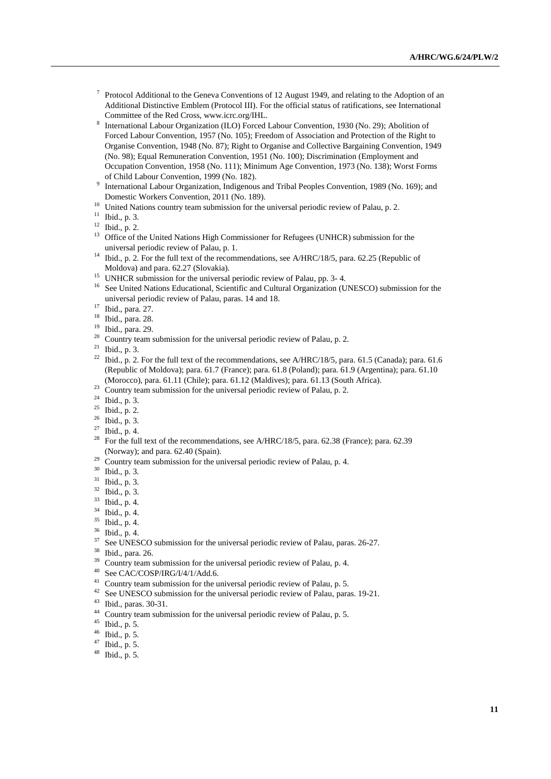- <sup>7</sup> Protocol Additional to the Geneva Conventions of 12 August 1949, and relating to the Adoption of an Additional Distinctive Emblem (Protocol III). For the official status of ratifications, see International Committee of the Red Cross, www.icrc.org/IHL.
- 8 International Labour Organization (ILO) Forced Labour Convention, 1930 (No. 29); Abolition of Forced Labour Convention, 1957 (No. 105); Freedom of Association and Protection of the Right to Organise Convention, 1948 (No. 87); Right to Organise and Collective Bargaining Convention, 1949 (No. 98); Equal Remuneration Convention, 1951 (No. 100); Discrimination (Employment and Occupation Convention, 1958 (No. 111); Minimum Age Convention, 1973 (No. 138); Worst Forms of Child Labour Convention, 1999 (No. 182).
- <sup>9</sup> International Labour Organization, Indigenous and Tribal Peoples Convention, 1989 (No. 169); and Domestic Workers Convention, 2011 (No. 189).
- <sup>10</sup> United Nations country team submission for the universal periodic review of Palau, p. 2.
- <sup>11</sup> Ibid., p. 3.
- <sup>12</sup> Ibid., p. 2.
- <sup>13</sup> Office of the United Nations High Commissioner for Refugees (UNHCR) submission for the universal periodic review of Palau, p. 1.
- <sup>14</sup> Ibid., p. 2. For the full text of the recommendations, see A/HRC/18/5, para. 62.25 (Republic of Moldova) and para. 62.27 (Slovakia).
- <sup>15</sup> UNHCR submission for the universal periodic review of Palau, pp. 3-4.
- <sup>16</sup> See United Nations Educational, Scientific and Cultural Organization (UNESCO) submission for the universal periodic review of Palau, paras. 14 and 18.
- <sup>17</sup> Ibid., para. 27.
- <sup>18</sup> Ibid., para. 28.
- $\frac{19}{20}$  Ibid., para. 29.
- Country team submission for the universal periodic review of Palau, p. 2.
- <sup>21</sup> Ibid., p. 3.
- <sup>22</sup> Ibid., p. 2. For the full text of the recommendations, see A/HRC/18/5, para. 61.5 (Canada); para. 61.6 (Republic of Moldova); para. 61.7 (France); para. 61.8 (Poland); para. 61.9 (Argentina); para. 61.10 (Morocco), para. 61.11 (Chile); para. 61.12 (Maldives); para. 61.13 (South Africa).
- $23$  Country team submission for the universal periodic review of Palau, p. 2.
- <sup>24</sup> Ibid., p. 3.
- $25$  Ibid., p. 2.
- <sup>26</sup> Ibid., p. 3.
- <sup>27</sup> Ibid., p. 4.
- <sup>28</sup> For the full text of the recommendations, see A/HRC/18/5, para. 62.38 (France); para. 62.39 (Norway); and para. 62.40 (Spain).
- $29$  Country team submission for the universal periodic review of Palau, p. 4.
- <sup>30</sup> Ibid., p. 3.
- <sup>31</sup> Ibid., p. 3.
- <sup>32</sup> Ibid., p. 3.
- $\frac{33}{34}$  Ibid., p. 4.
- Ibid., p. 4.
- <sup>35</sup> Ibid., p. 4.
- $\frac{36}{37}$  Ibid., p. 4.
- See UNESCO submission for the universal periodic review of Palau, paras. 26-27.
- $\frac{38}{39}$  Ibid., para. 26.
- <sup>39</sup> Country team submission for the universal periodic review of Palau, p. 4.<br><sup>40</sup> See CAC/COSP/IPG/J/4/1/Add 6
- See CAC/COSP/IRG/I/4/1/Add.6.
- <sup>41</sup> Country team submission for the universal periodic review of Palau, p. 5.
- <sup>42</sup> See UNESCO submission for the universal periodic review of Palau, paras. 19-21.
- $^{43}$  Ibid., paras. 30-31.
- Country team submission for the universal periodic review of Palau, p. 5.
- $^{45}$  Ibid., p. 5.<br> $^{46}$  Ibid. p. 5.
- $^{46}$  Ibid., p. 5.
- Ibid., p. 5.
- <sup>48</sup> Ibid., p. 5.